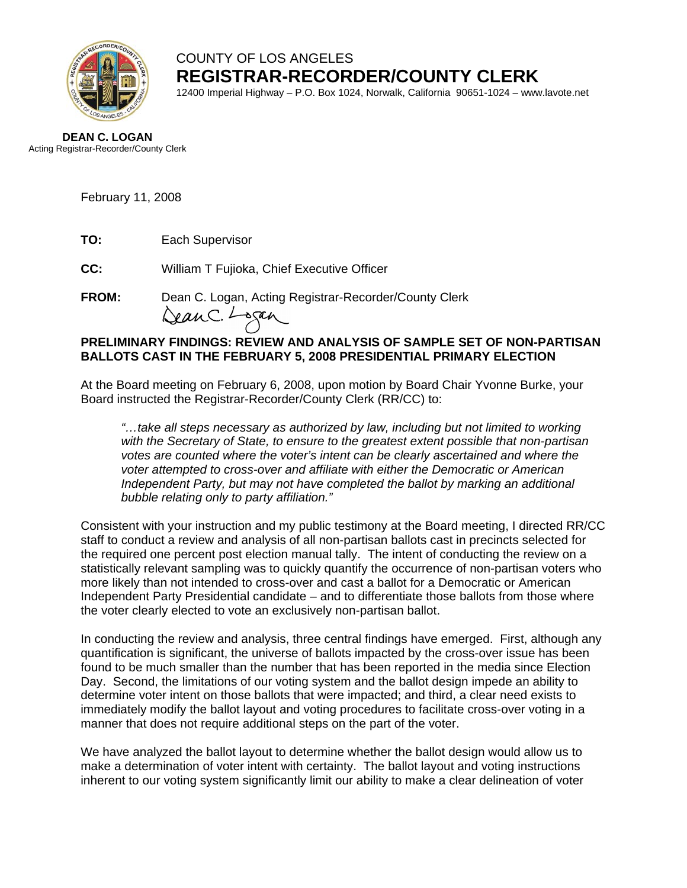

COUNTY OF LOS ANGELES **REGISTRAR-RECORDER/COUNTY CLERK**

12400 Imperial Highway – P.O. Box 1024, Norwalk, California 90651-1024 – www.lavote.net

#### **DEAN C. LOGAN** Acting Registrar-Recorder/County Clerk

February 11, 2008

**TO:** Each Supervisor

**CC:** William T Fujioka, Chief Executive Officer

**FROM:** Dean C. Logan, Acting Registrar-Recorder/County Clerk<br>  $\sqrt{2\mu}$ C.  $\sqrt{2\mu}$ 

## **PRELIMINARY FINDINGS: REVIEW AND ANALYSIS OF SAMPLE SET OF NON-PARTISAN BALLOTS CAST IN THE FEBRUARY 5, 2008 PRESIDENTIAL PRIMARY ELECTION**

At the Board meeting on February 6, 2008, upon motion by Board Chair Yvonne Burke, your Board instructed the Registrar-Recorder/County Clerk (RR/CC) to:

*"…take all steps necessary as authorized by law, including but not limited to working with the Secretary of State, to ensure to the greatest extent possible that non-partisan votes are counted where the voter's intent can be clearly ascertained and where the voter attempted to cross-over and affiliate with either the Democratic or American Independent Party, but may not have completed the ballot by marking an additional bubble relating only to party affiliation."* 

Consistent with your instruction and my public testimony at the Board meeting, I directed RR/CC staff to conduct a review and analysis of all non-partisan ballots cast in precincts selected for the required one percent post election manual tally. The intent of conducting the review on a statistically relevant sampling was to quickly quantify the occurrence of non-partisan voters who more likely than not intended to cross-over and cast a ballot for a Democratic or American Independent Party Presidential candidate – and to differentiate those ballots from those where the voter clearly elected to vote an exclusively non-partisan ballot.

In conducting the review and analysis, three central findings have emerged. First, although any quantification is significant, the universe of ballots impacted by the cross-over issue has been found to be much smaller than the number that has been reported in the media since Election Day. Second, the limitations of our voting system and the ballot design impede an ability to determine voter intent on those ballots that were impacted; and third, a clear need exists to immediately modify the ballot layout and voting procedures to facilitate cross-over voting in a manner that does not require additional steps on the part of the voter.

We have analyzed the ballot layout to determine whether the ballot design would allow us to make a determination of voter intent with certainty. The ballot layout and voting instructions inherent to our voting system significantly limit our ability to make a clear delineation of voter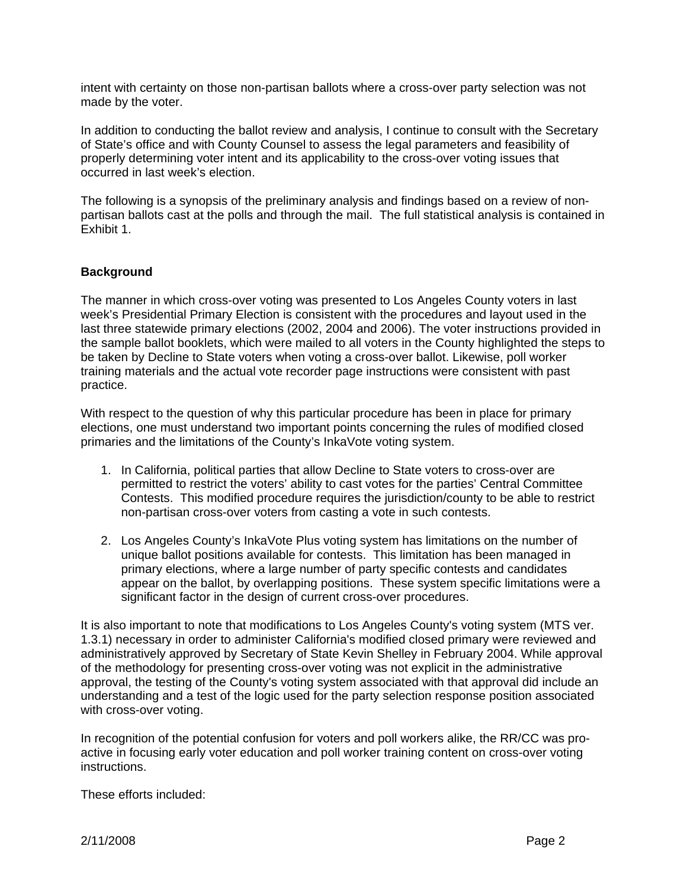intent with certainty on those non-partisan ballots where a cross-over party selection was not made by the voter.

In addition to conducting the ballot review and analysis, I continue to consult with the Secretary of State's office and with County Counsel to assess the legal parameters and feasibility of properly determining voter intent and its applicability to the cross-over voting issues that occurred in last week's election.

The following is a synopsis of the preliminary analysis and findings based on a review of nonpartisan ballots cast at the polls and through the mail. The full statistical analysis is contained in Exhibit 1.

## **Background**

The manner in which cross-over voting was presented to Los Angeles County voters in last week's Presidential Primary Election is consistent with the procedures and layout used in the last three statewide primary elections (2002, 2004 and 2006). The voter instructions provided in the sample ballot booklets, which were mailed to all voters in the County highlighted the steps to be taken by Decline to State voters when voting a cross-over ballot. Likewise, poll worker training materials and the actual vote recorder page instructions were consistent with past practice.

With respect to the question of why this particular procedure has been in place for primary elections, one must understand two important points concerning the rules of modified closed primaries and the limitations of the County's InkaVote voting system.

- 1. In California, political parties that allow Decline to State voters to cross-over are permitted to restrict the voters' ability to cast votes for the parties' Central Committee Contests. This modified procedure requires the jurisdiction/county to be able to restrict non-partisan cross-over voters from casting a vote in such contests.
- 2. Los Angeles County's InkaVote Plus voting system has limitations on the number of unique ballot positions available for contests. This limitation has been managed in primary elections, where a large number of party specific contests and candidates appear on the ballot, by overlapping positions. These system specific limitations were a significant factor in the design of current cross-over procedures.

It is also important to note that modifications to Los Angeles County's voting system (MTS ver. 1.3.1) necessary in order to administer California's modified closed primary were reviewed and administratively approved by Secretary of State Kevin Shelley in February 2004. While approval of the methodology for presenting cross-over voting was not explicit in the administrative approval, the testing of the County's voting system associated with that approval did include an understanding and a test of the logic used for the party selection response position associated with cross-over voting.

In recognition of the potential confusion for voters and poll workers alike, the RR/CC was proactive in focusing early voter education and poll worker training content on cross-over voting instructions.

These efforts included: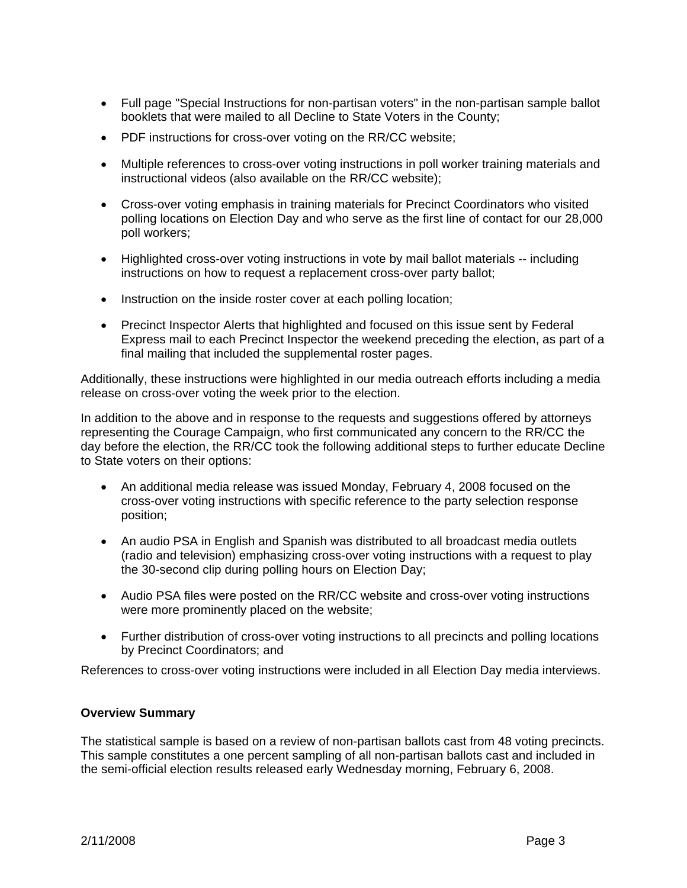- Full page "Special Instructions for non-partisan voters" in the non-partisan sample ballot booklets that were mailed to all Decline to State Voters in the County;
- PDF instructions for cross-over voting on the RR/CC website;
- Multiple references to cross-over voting instructions in poll worker training materials and instructional videos (also available on the RR/CC website);
- Cross-over voting emphasis in training materials for Precinct Coordinators who visited polling locations on Election Day and who serve as the first line of contact for our 28,000 poll workers;
- Highlighted cross-over voting instructions in vote by mail ballot materials -- including instructions on how to request a replacement cross-over party ballot;
- Instruction on the inside roster cover at each polling location;
- Precinct Inspector Alerts that highlighted and focused on this issue sent by Federal Express mail to each Precinct Inspector the weekend preceding the election, as part of a final mailing that included the supplemental roster pages.

Additionally, these instructions were highlighted in our media outreach efforts including a media release on cross-over voting the week prior to the election.

In addition to the above and in response to the requests and suggestions offered by attorneys representing the Courage Campaign, who first communicated any concern to the RR/CC the day before the election, the RR/CC took the following additional steps to further educate Decline to State voters on their options:

- An additional media release was issued Monday, February 4, 2008 focused on the cross-over voting instructions with specific reference to the party selection response position;
- An audio PSA in English and Spanish was distributed to all broadcast media outlets (radio and television) emphasizing cross-over voting instructions with a request to play the 30-second clip during polling hours on Election Day;
- Audio PSA files were posted on the RR/CC website and cross-over voting instructions were more prominently placed on the website;
- Further distribution of cross-over voting instructions to all precincts and polling locations by Precinct Coordinators; and

References to cross-over voting instructions were included in all Election Day media interviews.

## **Overview Summary**

The statistical sample is based on a review of non-partisan ballots cast from 48 voting precincts. This sample constitutes a one percent sampling of all non-partisan ballots cast and included in the semi-official election results released early Wednesday morning, February 6, 2008.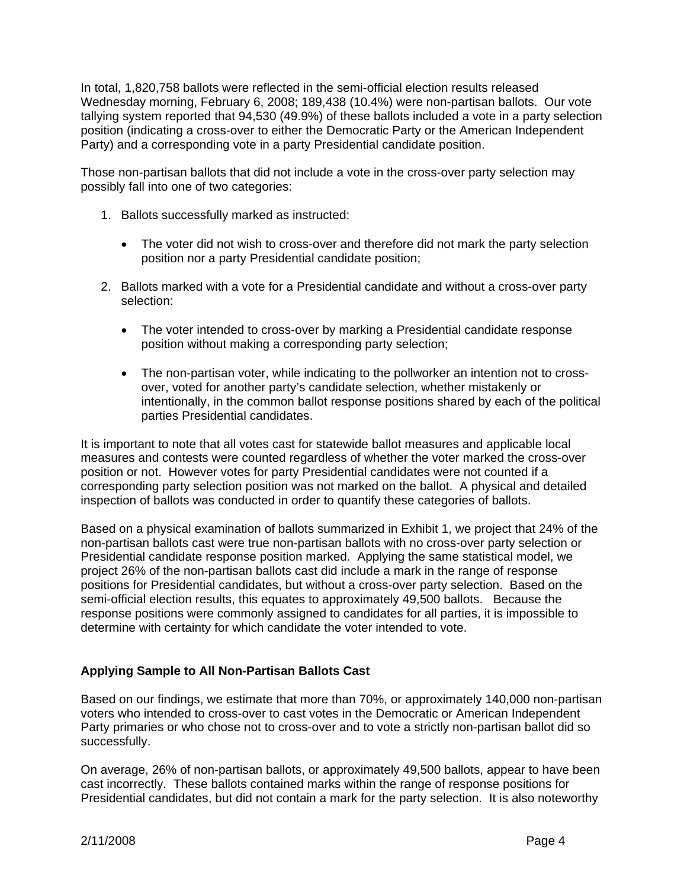In total, 1,820,758 ballots were reflected in the semi-official election results released Wednesday morning, February 6, 2008; 189,438 (10.4%) were non-partisan ballots. Our vote tallying system reported that 94,530 (49.9%) of these ballots included a vote in a party selection position (indicating a cross-over to either the Democratic Party or the American Independent Party) and a corresponding vote in a party Presidential candidate position.

Those non-partisan ballots that did not include a vote in the cross-over party selection may possibly fall into one of two categories:

- 1. Ballots successfully marked as instructed:
	- The voter did not wish to cross-over and therefore did not mark the party selection position nor a party Presidential candidate position;
- 2. Ballots marked with a vote for a Presidential candidate and without a cross-over party selection:
	- The voter intended to cross-over by marking a Presidential candidate response position without making a corresponding party selection;
	- The non-partisan voter, while indicating to the pollworker an intention not to crossover, voted for another party's candidate selection, whether mistakenly or intentionally, in the common ballot response positions shared by each of the political parties Presidential candidates.

It is important to note that all votes cast for statewide ballot measures and applicable local measures and contests were counted regardless of whether the voter marked the cross-over position or not. However votes for party Presidential candidates were not counted if a corresponding party selection position was not marked on the ballot. A physical and detailed inspection of ballots was conducted in order to quantify these categories of ballots.

Based on a physical examination of ballots summarized in Exhibit 1, we project that 24% of the non-partisan ballots cast were true non-partisan ballots with no cross-over party selection or Presidential candidate response position marked. Applying the same statistical model, we project 26% of the non-partisan ballots cast did include a mark in the range of response positions for Presidential candidates, but without a cross-over party selection. Based on the semi-official election results, this equates to approximately 49,500 ballots. Because the response positions were commonly assigned to candidates for all parties, it is impossible to determine with certainty for which candidate the voter intended to vote.

## **Applying Sample to All Non-Partisan Ballots Cast**

Based on our findings, we estimate that more than 70%, or approximately 140,000 non-partisan voters who intended to cross-over to cast votes in the Democratic or American Independent Party primaries or who chose not to cross-over and to vote a strictly non-partisan ballot did so successfully.

On average, 26% of non-partisan ballots, or approximately 49,500 ballots, appear to have been cast incorrectly. These ballots contained marks within the range of response positions for Presidential candidates, but did not contain a mark for the party selection. It is also noteworthy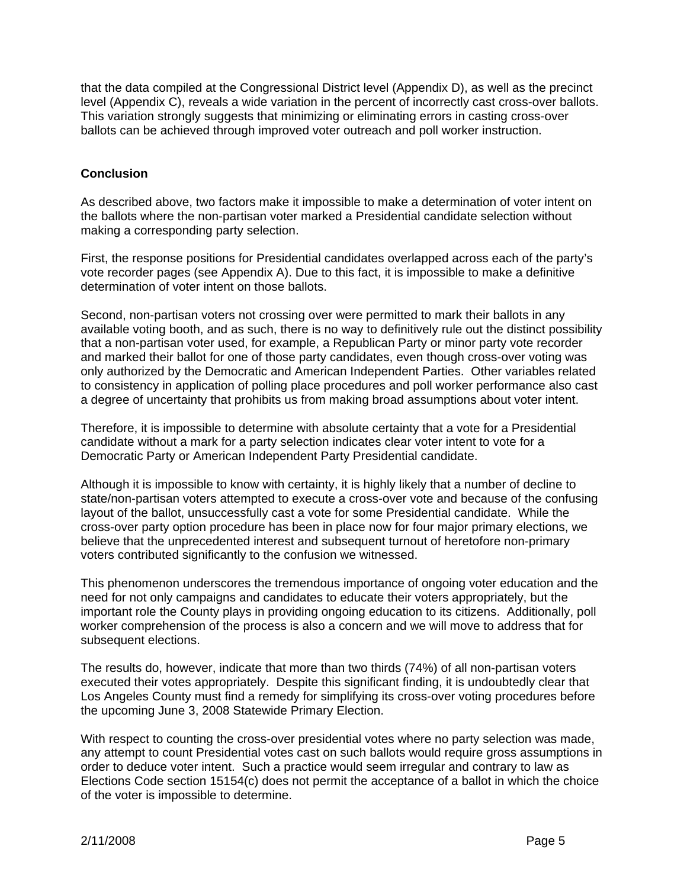that the data compiled at the Congressional District level (Appendix D), as well as the precinct level (Appendix C), reveals a wide variation in the percent of incorrectly cast cross-over ballots. This variation strongly suggests that minimizing or eliminating errors in casting cross-over ballots can be achieved through improved voter outreach and poll worker instruction.

## **Conclusion**

As described above, two factors make it impossible to make a determination of voter intent on the ballots where the non-partisan voter marked a Presidential candidate selection without making a corresponding party selection.

First, the response positions for Presidential candidates overlapped across each of the party's vote recorder pages (see Appendix A). Due to this fact, it is impossible to make a definitive determination of voter intent on those ballots.

Second, non-partisan voters not crossing over were permitted to mark their ballots in any available voting booth, and as such, there is no way to definitively rule out the distinct possibility that a non-partisan voter used, for example, a Republican Party or minor party vote recorder and marked their ballot for one of those party candidates, even though cross-over voting was only authorized by the Democratic and American Independent Parties. Other variables related to consistency in application of polling place procedures and poll worker performance also cast a degree of uncertainty that prohibits us from making broad assumptions about voter intent.

Therefore, it is impossible to determine with absolute certainty that a vote for a Presidential candidate without a mark for a party selection indicates clear voter intent to vote for a Democratic Party or American Independent Party Presidential candidate.

Although it is impossible to know with certainty, it is highly likely that a number of decline to state/non-partisan voters attempted to execute a cross-over vote and because of the confusing layout of the ballot, unsuccessfully cast a vote for some Presidential candidate. While the cross-over party option procedure has been in place now for four major primary elections, we believe that the unprecedented interest and subsequent turnout of heretofore non-primary voters contributed significantly to the confusion we witnessed.

This phenomenon underscores the tremendous importance of ongoing voter education and the need for not only campaigns and candidates to educate their voters appropriately, but the important role the County plays in providing ongoing education to its citizens. Additionally, poll worker comprehension of the process is also a concern and we will move to address that for subsequent elections.

The results do, however, indicate that more than two thirds (74%) of all non-partisan voters executed their votes appropriately. Despite this significant finding, it is undoubtedly clear that Los Angeles County must find a remedy for simplifying its cross-over voting procedures before the upcoming June 3, 2008 Statewide Primary Election.

With respect to counting the cross-over presidential votes where no party selection was made, any attempt to count Presidential votes cast on such ballots would require gross assumptions in order to deduce voter intent. Such a practice would seem irregular and contrary to law as Elections Code section 15154(c) does not permit the acceptance of a ballot in which the choice of the voter is impossible to determine.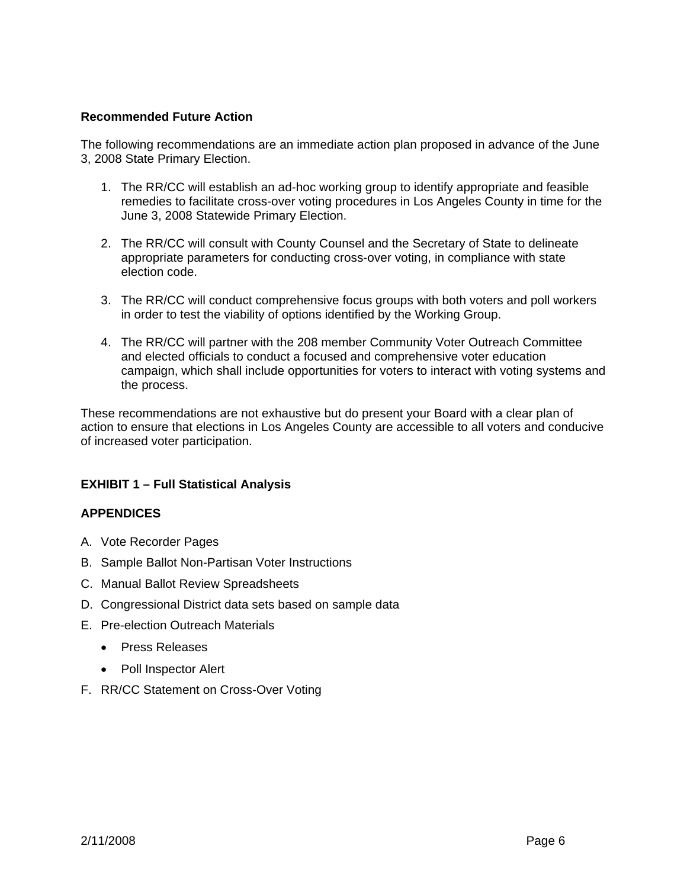#### **Recommended Future Action**

The following recommendations are an immediate action plan proposed in advance of the June 3, 2008 State Primary Election.

- 1. The RR/CC will establish an ad-hoc working group to identify appropriate and feasible remedies to facilitate cross-over voting procedures in Los Angeles County in time for the June 3, 2008 Statewide Primary Election.
- 2. The RR/CC will consult with County Counsel and the Secretary of State to delineate appropriate parameters for conducting cross-over voting, in compliance with state election code.
- 3. The RR/CC will conduct comprehensive focus groups with both voters and poll workers in order to test the viability of options identified by the Working Group.
- 4. The RR/CC will partner with the 208 member Community Voter Outreach Committee and elected officials to conduct a focused and comprehensive voter education campaign, which shall include opportunities for voters to interact with voting systems and the process.

These recommendations are not exhaustive but do present your Board with a clear plan of action to ensure that elections in Los Angeles County are accessible to all voters and conducive of increased voter participation.

## **EXHIBIT 1 – Full Statistical Analysis**

## **APPENDICES**

- A. Vote Recorder Pages
- B. Sample Ballot Non-Partisan Voter Instructions
- C. Manual Ballot Review Spreadsheets
- D. Congressional District data sets based on sample data
- E. Pre-election Outreach Materials
	- Press Releases
	- Poll Inspector Alert
- F. RR/CC Statement on Cross-Over Voting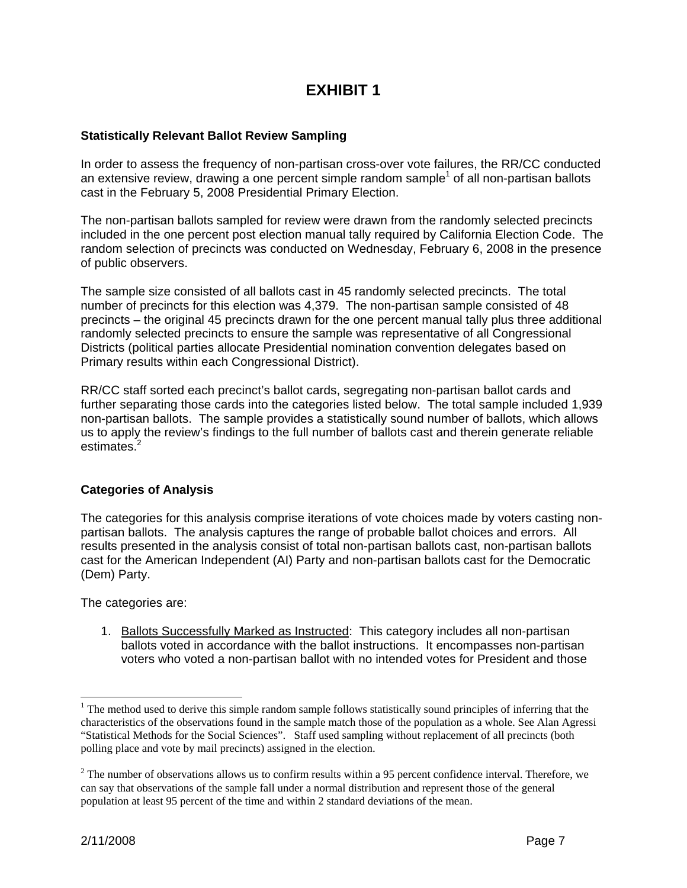# **EXHIBIT 1**

#### **Statistically Relevant Ballot Review Sampling**

In order to assess the frequency of non-partisan cross-over vote failures, the RR/CC conducted an extensive review, drawing a one percent simple random sample<sup>1</sup> of all non-partisan ballots cast in the February 5, 2008 Presidential Primary Election.

The non-partisan ballots sampled for review were drawn from the randomly selected precincts included in the one percent post election manual tally required by California Election Code. The random selection of precincts was conducted on Wednesday, February 6, 2008 in the presence of public observers.

The sample size consisted of all ballots cast in 45 randomly selected precincts. The total number of precincts for this election was 4,379. The non-partisan sample consisted of 48 precincts – the original 45 precincts drawn for the one percent manual tally plus three additional randomly selected precincts to ensure the sample was representative of all Congressional Districts (political parties allocate Presidential nomination convention delegates based on Primary results within each Congressional District).

RR/CC staff sorted each precinct's ballot cards, segregating non-partisan ballot cards and further separating those cards into the categories listed below. The total sample included 1,939 non-partisan ballots. The sample provides a statistically sound number of ballots, which allows us to apply the review's findings to the full number of ballots cast and therein generate reliable estimates.<sup>2</sup>

#### **Categories of Analysis**

The categories for this analysis comprise iterations of vote choices made by voters casting nonpartisan ballots. The analysis captures the range of probable ballot choices and errors. All results presented in the analysis consist of total non-partisan ballots cast, non-partisan ballots cast for the American Independent (AI) Party and non-partisan ballots cast for the Democratic (Dem) Party.

The categories are:

1. Ballots Successfully Marked as Instructed: This category includes all non-partisan ballots voted in accordance with the ballot instructions. It encompasses non-partisan voters who voted a non-partisan ballot with no intended votes for President and those

l

 $1$ <sup>1</sup> The method used to derive this simple random sample follows statistically sound principles of inferring that the characteristics of the observations found in the sample match those of the population as a whole. See Alan Agressi "Statistical Methods for the Social Sciences". Staff used sampling without replacement of all precincts (both polling place and vote by mail precincts) assigned in the election.

 $2^2$  The number of observations allows us to confirm results within a 95 percent confidence interval. Therefore, we can say that observations of the sample fall under a normal distribution and represent those of the general population at least 95 percent of the time and within 2 standard deviations of the mean.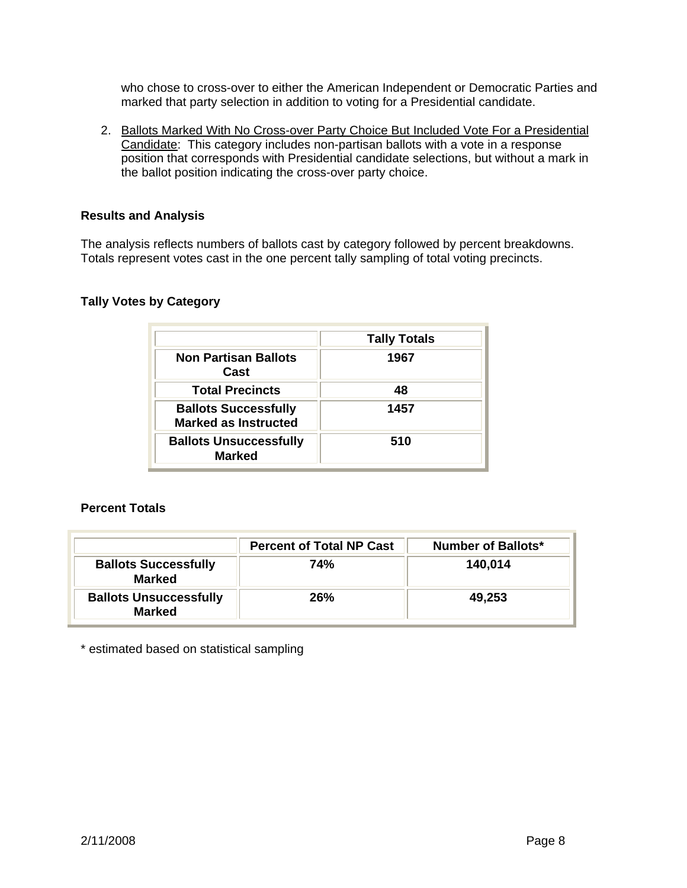who chose to cross-over to either the American Independent or Democratic Parties and marked that party selection in addition to voting for a Presidential candidate.

2. Ballots Marked With No Cross-over Party Choice But Included Vote For a Presidential Candidate: This category includes non-partisan ballots with a vote in a response position that corresponds with Presidential candidate selections, but without a mark in the ballot position indicating the cross-over party choice.

#### **Results and Analysis**

The analysis reflects numbers of ballots cast by category followed by percent breakdowns. Totals represent votes cast in the one percent tally sampling of total voting precincts.

#### **Tally Votes by Category**

|                                                            | <b>Tally Totals</b> |
|------------------------------------------------------------|---------------------|
| <b>Non Partisan Ballots</b><br>Cast                        | 1967                |
| <b>Total Precincts</b>                                     | 48                  |
| <b>Ballots Successfully</b><br><b>Marked as Instructed</b> | 1457                |
| <b>Ballots Unsuccessfully</b><br><b>Marked</b>             | 510                 |

## **Percent Totals**

|                                                | <b>Percent of Total NP Cast</b> | Number of Ballots* |
|------------------------------------------------|---------------------------------|--------------------|
| <b>Ballots Successfully</b><br><b>Marked</b>   | 74%                             | 140,014            |
| <b>Ballots Unsuccessfully</b><br><b>Marked</b> | 26%                             | 49,253             |

\* estimated based on statistical sampling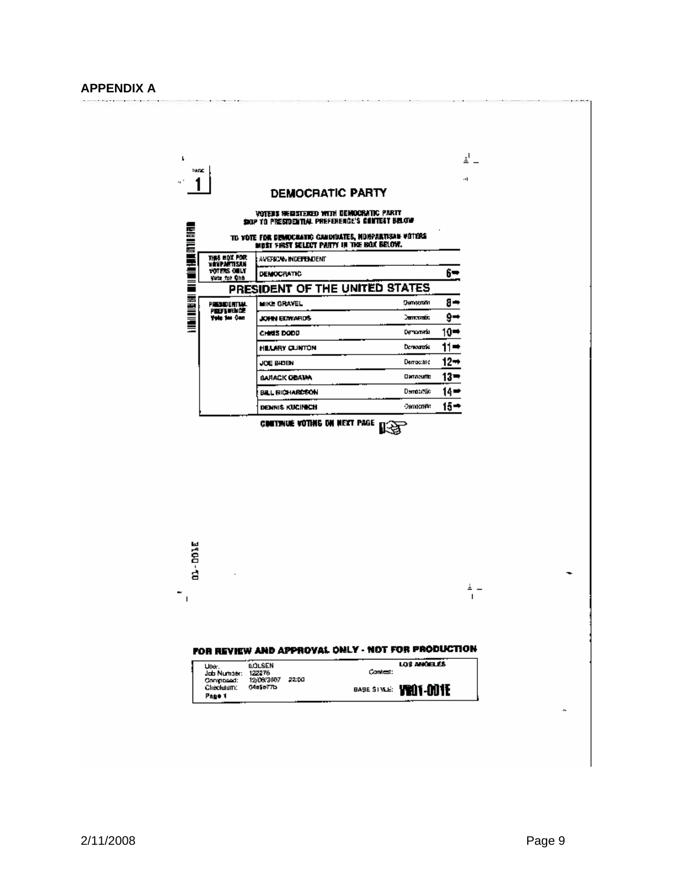#### **APPENDIX A**

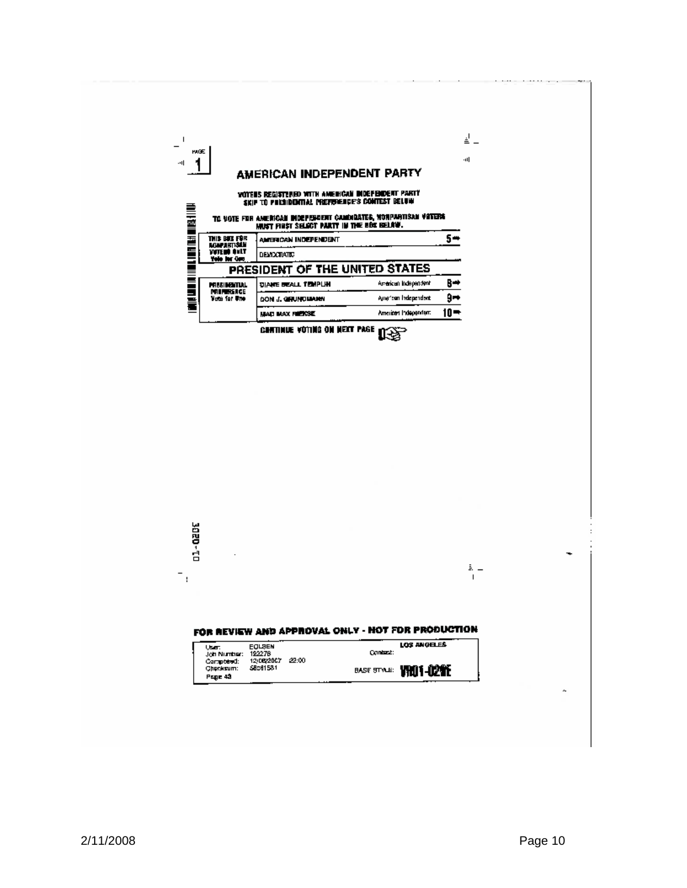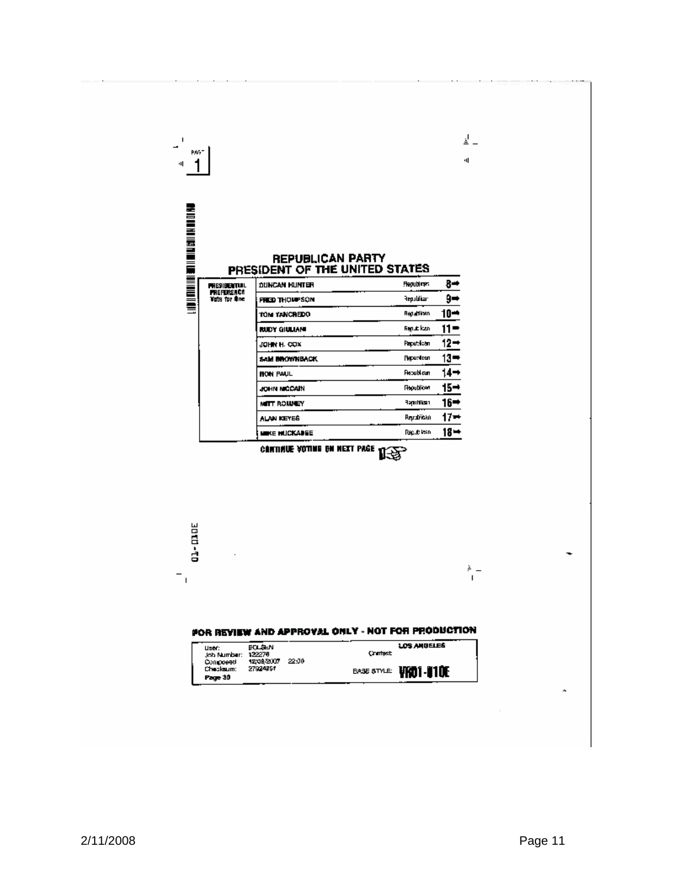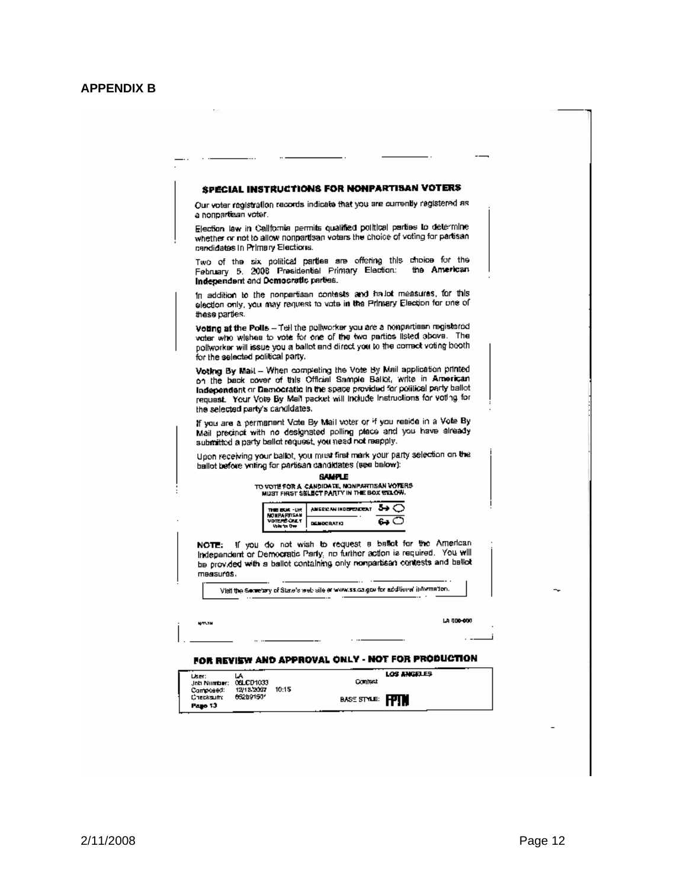|                                        |                                                                |                                                                                                           | <b>SPECIAL INSTRUCTIONS FOR NONPARTISAN VOTERS</b>                                                                                                                                                                                                                                                       |  |
|----------------------------------------|----------------------------------------------------------------|-----------------------------------------------------------------------------------------------------------|----------------------------------------------------------------------------------------------------------------------------------------------------------------------------------------------------------------------------------------------------------------------------------------------------------|--|
| a nonpartisan voter.                   |                                                                |                                                                                                           | Our voter registration records indicate that you are currently registered as                                                                                                                                                                                                                             |  |
| candidates in Primary Elections.       |                                                                |                                                                                                           | Election law in California permits qualified political parties to determine<br>whether or not to allow nonpartisan votars the choice of voting for partisan                                                                                                                                              |  |
| Indegendent and Democratic parties.    |                                                                | February 5. 2008 Presidential Primary Election:                                                           | Two of the six political parties are offering this choice for the<br>the American                                                                                                                                                                                                                        |  |
| these parties.                         |                                                                |                                                                                                           | In addition to the nonpartisan contests and hallot measures, for this<br>election only, you may request to vote in the Primary Election for one of                                                                                                                                                       |  |
| for the selected political party.      |                                                                |                                                                                                           | Volting at the Polis - Tell the pollworker you are a nonpartiesh registered<br>voter who wishes to vote for one of the two parties listed above. The<br>pollworker will issue you a ballot and direct you to the correct voting booth,                                                                   |  |
| the selected party's candidates.       |                                                                |                                                                                                           | Voting By Mail - When completing the Vote By Mail application printed<br>on the back cover of this Official Sample Balkit, write in American<br>Independent or Democratic in the space provided for political party ballot<br>request. Your Vote By Mail packet will include instructions for voting for |  |
|                                        |                                                                | submitted a party ballot request, you need not reapply.                                                   | If you are a permanent Vote By Mail voter or if you reside in a Vote By<br>Mail precinct with no designated polling place and you have already                                                                                                                                                           |  |
|                                        |                                                                | ballot before writing for partisan candidates (see below):                                                | Upon receiving your ballot, you must first mark your party selection on the                                                                                                                                                                                                                              |  |
|                                        |                                                                | <b>BAMPLE</b><br>TO VOTE FOR A CANDIDATE, NONPARTISAN VOTERS<br>MUST FIRST SELECT PARTY IN THE BOX STACH. |                                                                                                                                                                                                                                                                                                          |  |
|                                        | THE EUR -UR<br><b>NONPARTISAN</b><br>VDTERS CRET<br>Volume One | <u>дискелинивеловит 5→</u> (<br><b>DEMOCRATIO</b>                                                         |                                                                                                                                                                                                                                                                                                          |  |
| NOTE:<br>measurgs.                     |                                                                |                                                                                                           | if you do not wish to request a baset for the American<br>Independent or Democratic Party, no further action is required. You will<br>be provided with a ballot containing only nonpartisan contests and beliet                                                                                          |  |
|                                        |                                                                | Visit the Secretary of State's web site or www.ss.ca.gov for additional information.                      |                                                                                                                                                                                                                                                                                                          |  |
| 877-19                                 |                                                                |                                                                                                           | LA 000-000                                                                                                                                                                                                                                                                                               |  |
|                                        |                                                                |                                                                                                           | FOR REVISW AND APPROVAL ONLY - NOT FOR PRODUCTION                                                                                                                                                                                                                                                        |  |
|                                        |                                                                |                                                                                                           |                                                                                                                                                                                                                                                                                                          |  |
| <b>Liser:</b><br>Job Number: 06LCD1033 |                                                                | <b>Comitest</b>                                                                                           | LOS ANGELES                                                                                                                                                                                                                                                                                              |  |

 $\overline{\phantom{a}}$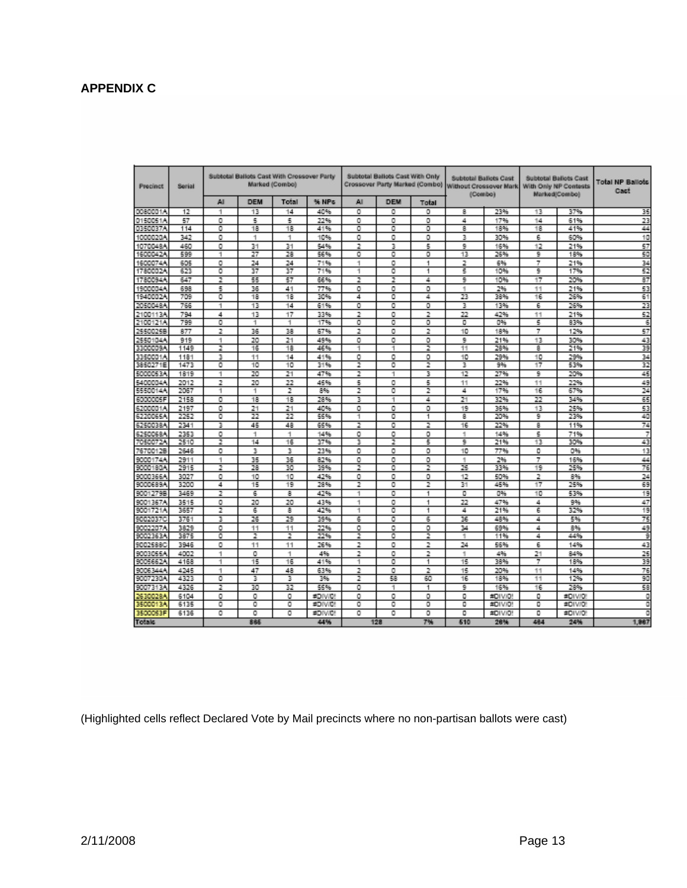## **APPENDIX C**

| <b>Precinct</b> | Serial |                    |                 | Subtotal Ballots Cast With Crossover Party<br>Marked (Combo) |         |     | Subtotal Ballots Cast With Only<br>Crossover Party Marked (Combo) |       |          | <b>Subtotal Ballots Cast</b><br>Without Crossover Mark<br>(Combo) |          | Subtotal Ballots Cast<br>With Only NP Contests<br>Marked/Combo) | Total NP Ballots<br>Cast |
|-----------------|--------|--------------------|-----------------|--------------------------------------------------------------|---------|-----|-------------------------------------------------------------------|-------|----------|-------------------------------------------------------------------|----------|-----------------------------------------------------------------|--------------------------|
|                 |        | AI                 | <b>DEM</b>      | Total                                                        | % NPs   | All | <b>DEM</b>                                                        | Total |          |                                                                   |          |                                                                 |                          |
| 0080001A        | 12     | 1                  | 13              | 14                                                           | 40%     | ō   | ٥                                                                 | ٥     | 8        | 23%                                                               | 13       | 37%                                                             | 35                       |
| 0150051A        | 57     | ٥                  | 5               | 5                                                            | 22%     | ٥   | ٥                                                                 | o     | 4        | 17%                                                               | 14       | 61%                                                             | 23                       |
| 0350037A        | 114    | ٥                  | 18              | 18                                                           | 41%     | ٥   | ٥                                                                 | o     | g        | 18%                                                               | 18       | 41%                                                             | 44                       |
| 1000020/        | 342    | ٥                  | 1               | 1                                                            | 10%     | ٥   | ٥                                                                 | o     | 3        | 30%                                                               | 6        | 60%                                                             | 10                       |
| 1070048A        | 460    | ٥                  | 31              | 31                                                           | 54%     | 2   | 3                                                                 | 5     | 9        | 16%                                                               | 12       | 21%                                                             | 57                       |
| 1600042A        | 599    | 1                  | 27              | 28                                                           | 56%     | ٥   | ٥                                                                 | o     | 13       | 26%                                                               | 9        | 18%                                                             | 50                       |
| 1600074A        | 605    | ٥                  | 24              | 24                                                           | 71%     | 1   | ٥                                                                 | 1     | 2        | 6%                                                                | 7        | 21%                                                             | 34                       |
| 1780002A        | 623    | ٥                  | 37              | 37                                                           | 71%     | 1   | ٥                                                                 | 1     | 5        | 10%                                                               | 9        | 17%                                                             | 52                       |
| 1780094A        | 647    | 2                  | 55              | 57                                                           | 66%     | 2   | 2                                                                 | 4     | 9        | 10%                                                               | 17       | 20%                                                             | 87                       |
| 1900004A        | 698    | 5                  | 36              | 41                                                           | 77%     | ٥   | ٥                                                                 | o     | 1        | 2%                                                                | 11       | 21%                                                             | 53                       |
| 1940002A        | 709    | ٥                  | 18              | 18                                                           | 30%     | 4   | ٥                                                                 | 4     | 23       | 38%                                                               | 16       | 26%                                                             | 61                       |
| 2050048A        | 766    | 1                  | 13              | 14                                                           | 61%     | ٥   | ٥                                                                 | ٥     | 3        | 13%                                                               | 6        | 26%                                                             | 23                       |
| 2100113A        | 794    | 4                  | 13              | 17                                                           | 33%     | 2   | ٥                                                                 | 2     | 22       | 42%                                                               | 11       | 21%                                                             | 52                       |
| 2100121A        | 799    | ٥                  | 1               | 1                                                            | 17%     | ٥   | ٥                                                                 | o     | ٥        | 0%                                                                | 5        | 83%                                                             | 6                        |
| 25500258        | 877    | 2                  | 36              | 38                                                           | 67%     | 2   | ٥                                                                 | 2     | 10       | 18%                                                               | 7        | 12%                                                             | 57                       |
| 2550104A        | 919    | 1                  | 20              | 21                                                           | 49%     | ٥   | ٥                                                                 | o     | 9        | 21%                                                               | 13       | 30%                                                             | 43                       |
| 3300009A        | 1149   | 2                  | 16              | 18                                                           | 46%     | 1   | 1                                                                 | 2     | 11       | 28%                                                               | 8        | 21%                                                             | 39                       |
| 3350001A        | 1181   | з                  | 11              | 14                                                           | 41%     | ٥   | ٥                                                                 | o     | 10       | 29%                                                               | 10       | 29%                                                             | 34                       |
| 3850271E        | 1473   | ٥                  | 10              | 10                                                           | 31%     | 2   | ٥                                                                 | 2     | з        | 9%                                                                | 17       | 53%                                                             | 32                       |
| 5000053A        | 1819   | 1                  | 20              | 21                                                           | 47%     | 2   | 1                                                                 | 3     | 12       | 27%                                                               | 9        | 20%                                                             | 45                       |
| 5400004A        | 2012   | 2                  | 20              | 22                                                           | 45%     | 5   | ٥                                                                 | 5     | 11       | 22%                                                               | 11       | 22%                                                             | 49                       |
| 5550014A        | 2067   | 1                  | 1               | 2                                                            | 8%      | 2   | ٥                                                                 | 2     | 4        | 17%                                                               | 16       | 67%                                                             | 24                       |
| 6000005F        | 2158   | ٥                  | 18              | 18                                                           | 28%     | 3   |                                                                   | 4     | Z        | 32%                                                               | 22       | 34%                                                             | 65                       |
| 6200001A        | 2197   | ٥                  | 21              | 21                                                           | 40%     | ٥   | ٥                                                                 | o     | 19       | 36%                                                               | 13       | 25%                                                             | 53                       |
| 6220065A        | 2252   | ٥                  | 22              | 22                                                           | 55%     | 1   | ٥                                                                 | 1     | 8        | 20%                                                               | 9        | 23%                                                             | 40                       |
| 6250038A        | 2341   | з                  | 45              | 48                                                           | 65%     | 2   | ٥                                                                 | 2     | 16       | 22%                                                               | 8        | 11%                                                             | 74                       |
| 6250068A        | 2353   | ٥                  | 1               | 1                                                            | 14%     | ٥   | ٥                                                                 | o     | 1        | 14%                                                               | 5        | 71%                                                             | 7                        |
| 7050072A        | 2510   | 2                  | $\overline{14}$ | 16                                                           | 37%     | 3   | 2                                                                 | 5     | 9        | 21%                                                               | 13       | 30%                                                             | 43                       |
| 76700128        | 2646   | ٥                  | 3               | 3                                                            | 23%     | ٥   | ٥                                                                 | o     | 10       | 77%                                                               | ٥        | 0%                                                              | 13                       |
| 9000174A        | 2911   | 1                  | 35              | 36                                                           | 82%     | ٥   | ٥                                                                 | o     | 1        | 2%                                                                | 7        | 16%                                                             | 44                       |
| 9000180A        | 2915   | 2                  | 28              | 30                                                           | 39%     | 2   | ٥                                                                 | 2     | 25       | 33%                                                               | 19       | 25%                                                             | 76                       |
| 9000366A        | 3027   | ٥                  | 10              | 10                                                           | 42%     | ٥   | ٥                                                                 | o     | 12       | 50%                                                               | 2        | 8%                                                              | 24                       |
| 9000689A        | 3200   | 4                  | 15              | 19                                                           | 28%     | 2   | ٥                                                                 | 2     | 31       | 45%                                                               | 17       | 25%                                                             | 69                       |
| 90012798        | 3469   | 2                  | 6               | 8                                                            | 42%     | 1   | ٥                                                                 | 1     | ٥        | 0%                                                                | 10       | 53%                                                             | 19                       |
| 9001367A        | 3515   | ٥                  | 20              | 20                                                           | 43%     | 1   | ٥                                                                 | 1     | 22       | 47%                                                               | 4        | 9%                                                              | 47                       |
| 9001721A        | 3657   | 2                  | 6               | 8                                                            | 42%     | 1   | ٥                                                                 | 1     | 4        | 21%                                                               | Б        | 32%                                                             | 19                       |
| 90020370        | 3761   | з                  | 26              | 29                                                           | 39%     | 6   | ٥                                                                 | 6     | 36       | 48%                                                               | 4        | 5%                                                              | 75                       |
| 9002207/        | 3829   | ٥                  | 11              | 11                                                           | 22%     | ٥   | ٥                                                                 | o     | 34       | 69%                                                               | 4        | 8%                                                              | 49                       |
| 9002363A        | 3875   | ٥                  | 2               | 2                                                            | 22%     | z   | ٥                                                                 | 2     | 1        | 11%                                                               | 4        | 44%                                                             | 9                        |
| 90025880        | 3946   | ٥                  | 11              | 11                                                           | 26%     | 2   | ٥                                                                 | 2     | 24       | 56%                                                               | 6        | 14%                                                             | 43                       |
| 9003055A        | 4002   | 1                  | o               | 1                                                            | 4%      | 2   | ٥                                                                 | 2     | 1        | 4%                                                                | 21       | 84%                                                             | 25                       |
| 9005662A        | 4168   | 1                  | 15              | 16                                                           | 41%     | 1   | ٥                                                                 | 1     | 15       | 38%                                                               | 7        | 18%                                                             | 39                       |
| 9006344A        | 4245   | 1                  | 47              | 48                                                           | 63%     | 2   | ٥                                                                 | 2     | 15       | 20%                                                               | 11       | 14%                                                             | 76                       |
| 9007230A        | 4323   | ٥                  | 3               | з                                                            | 3%      | z   | 58                                                                | 60    | 16       | 18%                                                               | 11       | 12%                                                             | 90                       |
| 9007313A        | 4326   | 2                  | 30              | 32                                                           | 55%     | ٥   | 1                                                                 | 1     | 9        | 16%                                                               | 16       | 28%                                                             | 58                       |
| 26300284        | 6104   | ٥                  | ۰               | ٥                                                            | #DIV/0! | ٥   | ٥                                                                 | o     | ٥        | #DIV/D!                                                           | ٥        | #DIV/D                                                          | o                        |
| 3500013A        | 6135   | ٥                  | ٥               | ٥                                                            | #DIV/0! | ٥   | ٥                                                                 | ٥     | ٥        | #DIV/D!                                                           | ٥        | #DIWD!                                                          | ٥                        |
| 3500053F        | 6136   | $\overline{\circ}$ | ō               | ٥                                                            | #DIV/0! | ٥   | ٥                                                                 | o     | ٥<br>610 | #DIV/D!                                                           | ٥<br>484 | #DIV/DI                                                         | ٥                        |
| Totalc          |        |                    | 885             |                                                              | 44%     |     | 128                                                               | 7%    |          | 26%                                                               |          | 24%                                                             | 1,967                    |

(Highlighted cells reflect Declared Vote by Mail precincts where no non-partisan ballots were cast)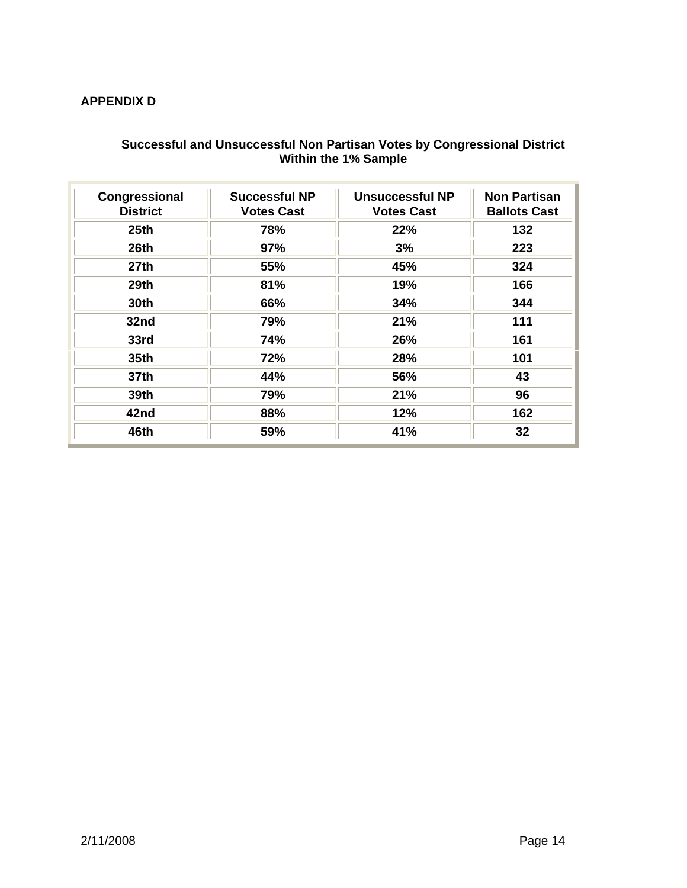## **APPENDIX D**

#### **Successful and Unsuccessful Non Partisan Votes by Congressional District Within the 1% Sample**

| Congressional<br><b>District</b> | <b>Successful NP</b><br><b>Votes Cast</b> | Unsuccessful NP<br><b>Votes Cast</b> | <b>Non Partisan</b><br><b>Ballots Cast</b> |
|----------------------------------|-------------------------------------------|--------------------------------------|--------------------------------------------|
| 25 <sub>th</sub>                 | 78%                                       | 22%                                  | 132                                        |
| 26th                             | 97%                                       | 3%                                   | 223                                        |
| 27 <sub>th</sub>                 | 55%                                       | 45%                                  | 324                                        |
| 29th                             | 81%                                       | 19%                                  | 166                                        |
| <b>30th</b>                      | 66%                                       | 34%                                  | 344                                        |
| 32nd                             | 79%                                       | 21%                                  | 111                                        |
| 33rd                             | 74%                                       | 26%                                  | 161                                        |
| <b>35th</b>                      | 72%                                       | 28%                                  | 101                                        |
| 37th                             | 44%                                       | 56%                                  | 43                                         |
| <b>39th</b>                      | 79%                                       | 21%                                  | 96                                         |
| 42nd                             | 88%                                       | 12%                                  | 162                                        |
| 46th                             | 59%                                       | 41%                                  | 32                                         |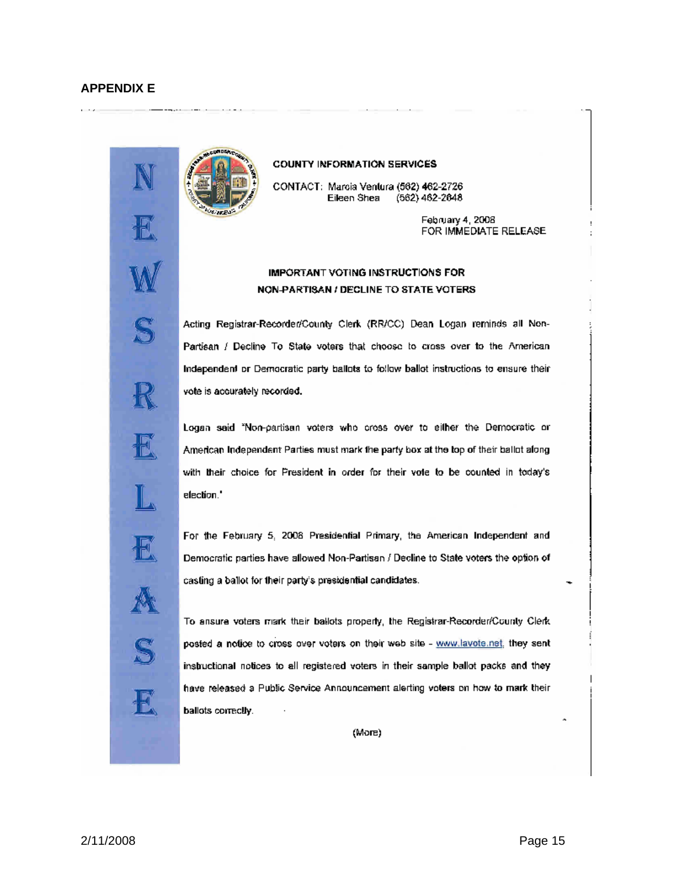iđ,

E



#### **COUNTY INFORMATION SERVICES**

CONTACT: Marcia Ventura (562) 462-2726 Eileen Shea (562) 462-2648

> February 4, 2008 FOR IMMEDIATE RELEASE

#### IMPORTANT VOTING INSTRUCTIONS FOR NON-PARTISAN / DECLINE TO STATE VOTERS

Acting Registrar-Recorder/County Clerk (RR/CC) Dean Logan reminds all Non-Partisan / Decline To State voters that choose to cross over to the American Independent or Democratic party ballots to follow ballot instructions to ensure their vote is accurately recorded.

Logan said "Non-partisan voters who cross over to either the Democratic or American Independent Parties must mark the party box at the top of their ballot along with their choice for President in order for their vote to be counted in today's election."

For the February 5, 2008 Presidential Primary, the American Independent and Democratic parties have allowed Non-Partisan / Decline to State voters the option of casting a ballot for their party's presidential candidates.

To ansure voters mark their ballots properly, the Registrar-Recorder/County Clerk posted a notice to cross over voters on their web site - www.lavote.net, they sent instructional notices to all registered voters in their sample ballot packs and they have released a Public Service Announcement alerting voters on how to mark their ballots correctly.

(More)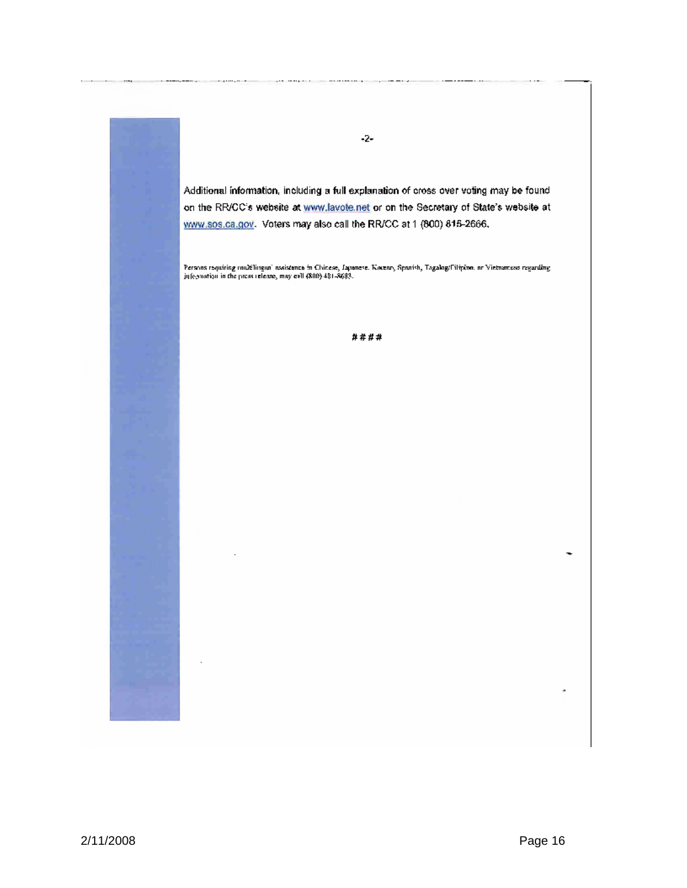Additional information, including a full explanation of cross over voting may be found on the RR/CC's website at www.lavote.net or on the Secretary of State's website at www.sos.ca.gov. Voters may also call the RR/CC at 1 (800) 815-2666.

 $-2-$ 

Persons requiring multilingun' nesistence in Chinese, Japanese. Kocenz, Spanish, Tagalog/Filipino. or Vietnamess regarding<br>jujegoorian in the press release, may call (800) 481-8683.

####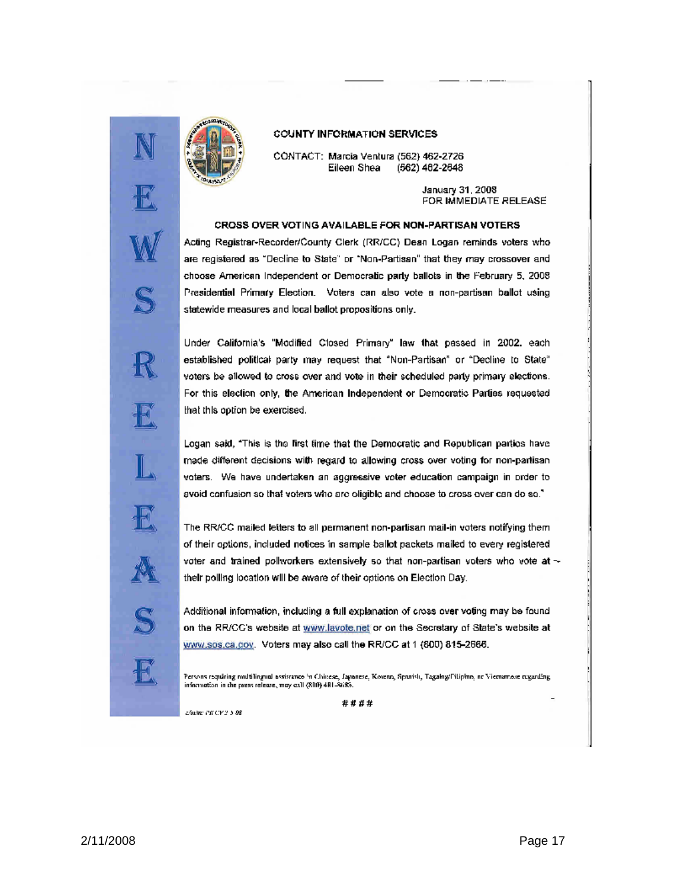

#### **COUNTY INFORMATION SERVICES**

CONTACT: Marcia Ventura (562) 462-2726 Eileen Shea (562) 462-2648

> January 31, 2008 FOR IMMEDIATE RELEASE

#### CROSS OVER VOTING AVAILABLE FOR NON-PARTISAN VOTERS

Acting Registrar-Recorder/County Clerk (RR/CC) Dean Logan reminds voters who are registered as "Decline to State" or "Non-Partisan" that they may crossover and choose American Independent or Democratic party ballots in the February 5, 2008 Presidential Primary Election. Voters can also vote a non-partisan ballot using statewide measures and local ballot propositions only.

Under California's "Modified Closed Primary" law that passed in 2002, each established political party may request that "Non-Partisan" or "Decline to State" voters be allowed to cross over and vote in their scheduled party primary elections. For this election only, the American Independent or Democratic Parties requested that this option be exercised.

Logan said, "This is the first time that the Democratic and Republican parties have made different decisions with regard to allowing cross over voting for non-partisan voters. We have undertaken an aggressive voter education campaign in order to avoid confusion so that voters who are oligible and choose to cross over can do so."

The RR/CC mailed letters to all permanent non-partisan mail-in voters notifying them of their options, included notices in sample ballot packets mailed to every registered voter and trained pollworkers extensively so that non-partisan voters who vote at  $\sim$ their polling location will be aware of their options on Election Day.

Additional information, including a full explanation of cross over voting may be found on the RR/CC's website at www.lavote.net or on the Secretary of State's website at www.sos.ca.gov. Voters may also call the RR/CC at 1 (800) 815-2666.

Persons requiring multilingual assistance in Chinese, Lapanese, Koveno, Spanish, Tagalog/Filipino, ne Vietnamese regarding<br>information in the peest release, may call (800) 481-8683.

\*\*\*\*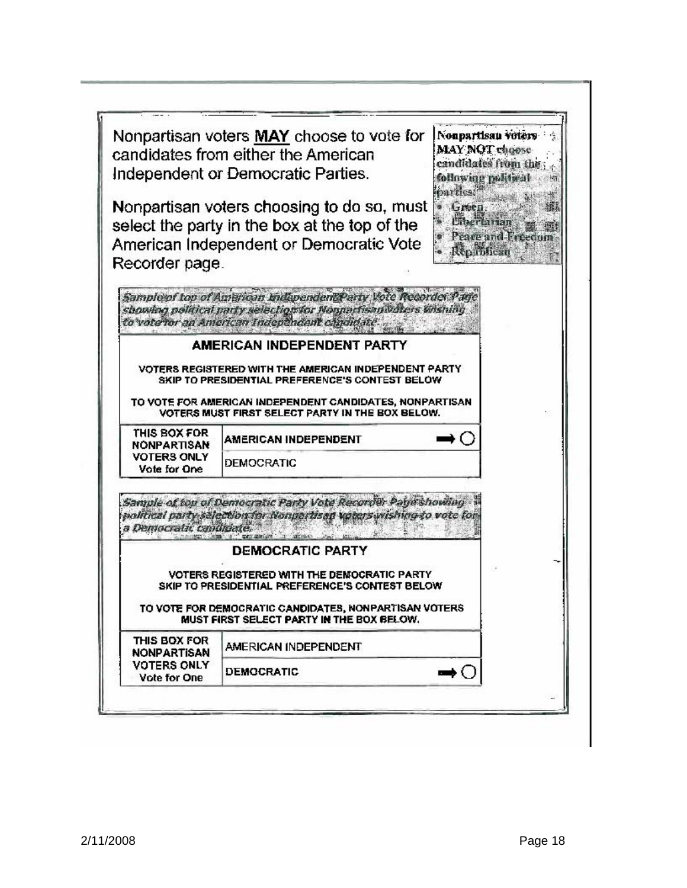|                                    | Nonpartisan voters MAY choose to vote for<br>candidates from either the American<br>Independent or Democratic Parties.                                                                | Nonpartisan voters<br>MAY NOT choose<br>candidates from the<br>sollowing political<br>parties. <sup>28</sup> |
|------------------------------------|---------------------------------------------------------------------------------------------------------------------------------------------------------------------------------------|--------------------------------------------------------------------------------------------------------------|
|                                    | Nonpartisan voters choosing to do so, must<br>select the party in the box at the top of the<br>American Independent or Democratic Vote                                                | Green<br>Peace and Freedo<br>Republican                                                                      |
| Recorder page.                     |                                                                                                                                                                                       |                                                                                                              |
|                                    | Sample of top of American Indiapendent Party Vote Recorder Page<br>showing political party selection for Nonpartisan values thishing<br>to vote for an American Independent condidate |                                                                                                              |
|                                    | <b>AMERICAN INDEPENDENT PARTY</b>                                                                                                                                                     |                                                                                                              |
|                                    | VOTERS REGISTERED WITH THE AMERICAN INDEPENDENT PARTY.<br>SKIP TO PRESIDENTIAL PREFERENCE'S CONTEST BELOW                                                                             |                                                                                                              |
|                                    | TO VOTE FOR AMERICAN INDEPENDENT CANDIDATES, NONPARTISAN<br>VOTERS MUST FIRST SELECT PARTY IN THE BOX BELOW.                                                                          |                                                                                                              |
| THIS BOX FOR<br>NONPARTISAN        | AMERICAN INDEPENDENT                                                                                                                                                                  | - 1                                                                                                          |
| <b>VOTERS ONLY</b><br>Vote for One | DEMOCRATIC                                                                                                                                                                            |                                                                                                              |
| a Democratic candid                | Sample of top of Democratic Party Vote Recorder Paye showing<br>political party salection for Nongartisan voters wishing to vote for                                                  |                                                                                                              |
|                                    | <b>DEMOCRATIC PARTY</b>                                                                                                                                                               |                                                                                                              |
|                                    | <b>VOTERS REGISTERED WITH THE DEMOCRATIC PARTY</b><br>SKIP TO PRESIDENTIAL PREFERENCE'S CONTEST BELOW                                                                                 |                                                                                                              |
|                                    | TO VOTE FOR DEMOCRATIC CANDIDATES, NONPARTISAN VOTERS<br>MUST FIRST SELECT PARTY IN THE BOX BELOW.                                                                                    |                                                                                                              |
| THIS BOX FOR                       | AMERICAN INDEPENDENT                                                                                                                                                                  |                                                                                                              |
| NONPARTISAN                        |                                                                                                                                                                                       |                                                                                                              |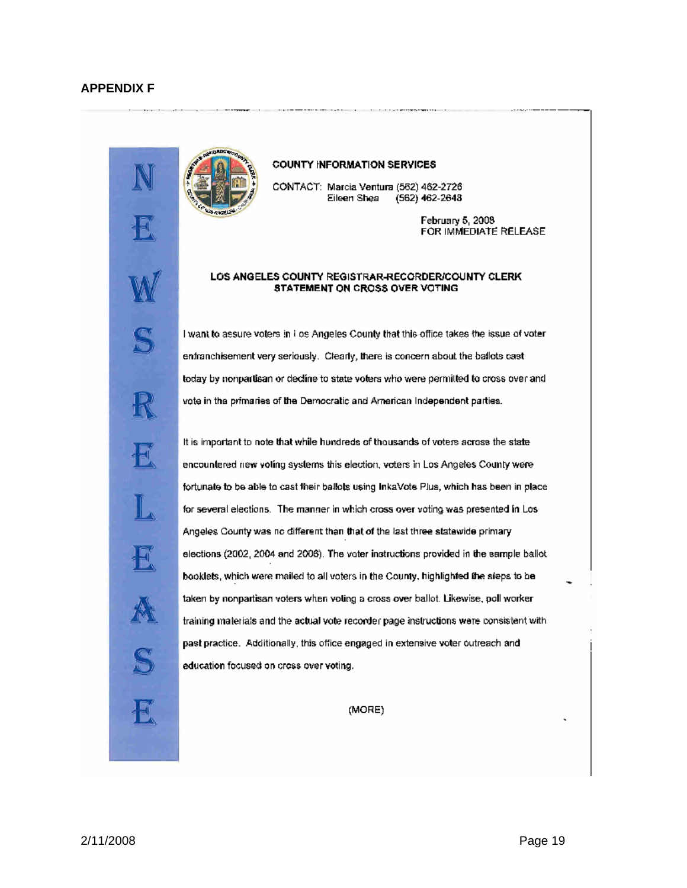

#### COUNTY INFORMATION SERVICES

CONTACT: Marcia Ventura (562) 462-2726 Eileen Shea  $(562)$  462-2648

> February 5, 2008 FOR IMMEDIATE RELEASE

#### LOS ANGELES COUNTY REGISTRAR-RECORDER/COUNTY CLERK STATEMENT ON CROSS OVER VOTING

I want to assure voters in i os Angeles County that this office takes the issue of voter enfranchisement very seriously. Clearly, there is concern about the ballots cast today by nonpartisan or decline to state voters who were permitted to cross over and vote in the primaries of the Democratic and American Independent parties.

It is important to note that while hundreds of thousands of voters across the state encountered new voting systems this election, voters in Los Angeles County were fortunate to be able to cast their ballots using InkaVote Plus, which has been in place for several elections. The manner in which cross over voting was presented in Los-Angeles County was no different than that of the last three statewide primary elections (2002, 2004 and 2006). The voter instructions provided in the sample ballot booklets, which were mailed to all voters in the County, highlighted the steps to be taken by nonpartisan voters when voting a cross over ballot. Likewise, poll worker training materials and the actual vote recorder page instructions were consistent with past practice. Additionally, this office engaged in extensive voter outreach and education focused on cross over voting.

(MORE)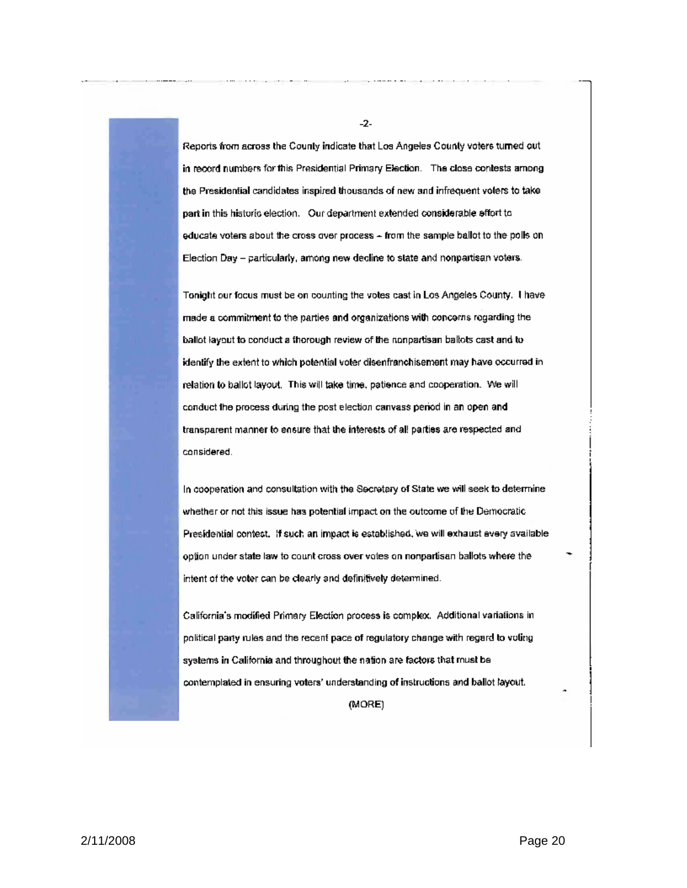Reports from across the County indicate that Los Angeles County voters turned out in record numbers for this Presidential Primary Election. The close contests among the Presidential candidates inspired thousands of new and infrequent volers to take part in this historic election. Our department extended considerable effort to educate voters about the cross over process - from the sample ballot to the polls on Election Day - particularly, among new decline to state and nonpartisan voters.

Tonight our focus must be on counting the votes cast in Los Angeles County. I have made a commitment to the parties and organizations with concerns regarding the ballot layout to conduct a thorough review of the nonpartisan ballots cast and to identify the extent to which potential voter disenfranchisement may have occurred in relation to ballot layout. This will take time, patience and cooperation. We will conduct the process during the post election canvass period in an open and transparent manner to ensure that the interests of all parties are respected and considered.

In cooperation and consultation with the Secretary of State we will seek to determine whether or not this issue has potential impact on the outcome of the Democratic Presidential contest. If such an impact is established, we will exhaust every available option under state law to count cross over votes on nonpartisan ballots where the intent of the voter can be clearly and definitively determined.

California's modified Primary Election process is complex. Additional variations in political party rules and the recent pace of regulatory change with regard to voling systems in California and throughout the nation are factors that must be contemplated in ensuring voters' understanding of instructions and ballot layout.

(MORE)